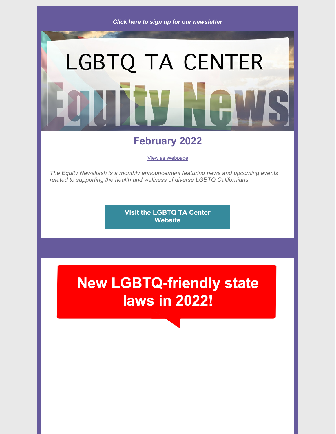

# LGBTQ TA CENTER

## **February 2022**

View as [Webpage](https://campaignlp.constantcontact.com/em/1101289295579/cc2a8474-e621-4704-a49f-36b6bb31cf1c)

*The Equity Newsflash is a monthly announcement featuring news and upcoming events related to supporting the health and wellness of diverse LGBTQ Californians.*

> **Visit the LGBTQ TA Center [Website](http://lgbtq-ta-center.org/)**

# **New LGBTQ-friendly state laws in 2022!**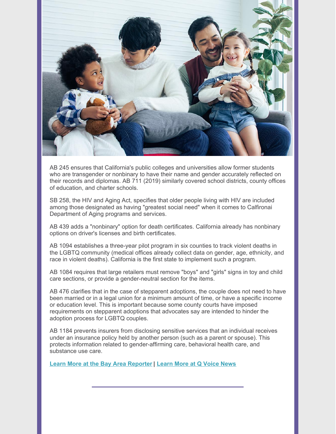

AB 245 ensures that California's public colleges and universities allow former students who are transgender or nonbinary to have their name and gender accurately reflected on their records and diplomas. AB 711 (2019) similarly covered school districts, county offices of education, and charter schools.

SB 258, the HIV and Aging Act, specifies that older people living with HIV are included among those designated as having "greatest social need" when it comes to Calfironai Department of Aging programs and services.

AB 439 adds a "nonbinary" option for death certificates. California already has nonbinary options on driver's licenses and birth certificates.

AB 1094 establishes a three-year pilot program in six counties to track violent deaths in the LGBTQ community (medical offices already collect data on gender, age, ethnicity, and race in violent deaths). California is the first state to implement such a program.

AB 1084 requires that large retailers must remove "boys" and "girls" signs in toy and child care sections, or provide a gender-neutral section for the items.

AB 476 clarifies that in the case of stepparent adoptions, the couple does not need to have been married or in a legal union for a minimum amount of time, or have a specific income or education level. This is important because some county courts have imposed requirements on stepparent adoptions that advocates say are intended to hinder the adoption process for LGBTQ couples.

AB 1184 prevents insurers from disclosing sensitive services that an individual receives under an insurance policy held by another person (such as a parent or spouse). This protects information related to gender-affirming care, behavioral health care, and substance use care.

**Learn More at the Bay Area [Reporter](https://www.ebar.com/news/news//311722) | [Learn](https://qvoicenews.com/2022/01/06/these-lgbtq-related-laws-went-into-effect-in-california-jan-1/) More at Q Voice News**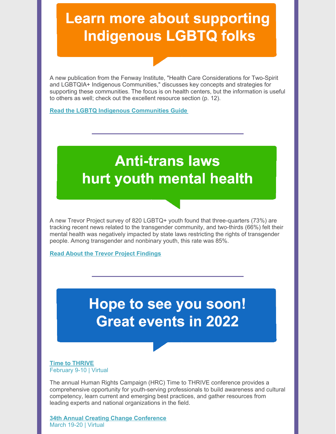## **Learn more about supporting Indigenous LGBTQ folks**

A new publication from the Fenway Institute, "Health Care Considerations for Two-Spirit and LGBTQIA+ Indigenous Communities," discusses key concepts and strategies for supporting these communities. The focus is on health centers, but the information is useful to others as well; check out the excellent resource section (p. 12).

#### **Read the LGBTQ Indigenous [Communities](https://www.lgbtqiahealtheducation.org/wp-content/uploads/2022/01/TFIAP-59_-Health-Care-Considerations-for-Two-Spirit-and-LGBTQIA-Indigenous-Communities_Final.pdf) Guide**

## **Anti-trans laws** hurt youth mental health

A new Trevor Project survey of 820 LGBTQ+ youth found that three-quarters (73%) are tracking recent news related to the transgender community, and two-thirds (66%) felt their mental health was negatively impacted by state laws restricting the rights of transgender people. Among transgender and nonbinary youth, this rate was 85%.

**Read About the Trevor Project [Findings](https://www.thetrevorproject.org/wp-content/uploads/2022/01/TrevorProject_Public1.pdf)**

## Hope to see you soon! **Great events in 2022**

#### **Time to [THRIVE](https://timetothrive.org/registration)** February 9-10 | Virtual

The annual Human Rights Campaign (HRC) Time to THRIVE conference provides a comprehensive opportunity for youth-serving professionals to build awareness and cultural competency, learn current and emerging best practices, and gather resources from leading experts and national organizations in the field.

**34th Annual Creating Change [Conference](https://www.thetaskforce.org/creatingchange.html)** March 19-20 | Virtual